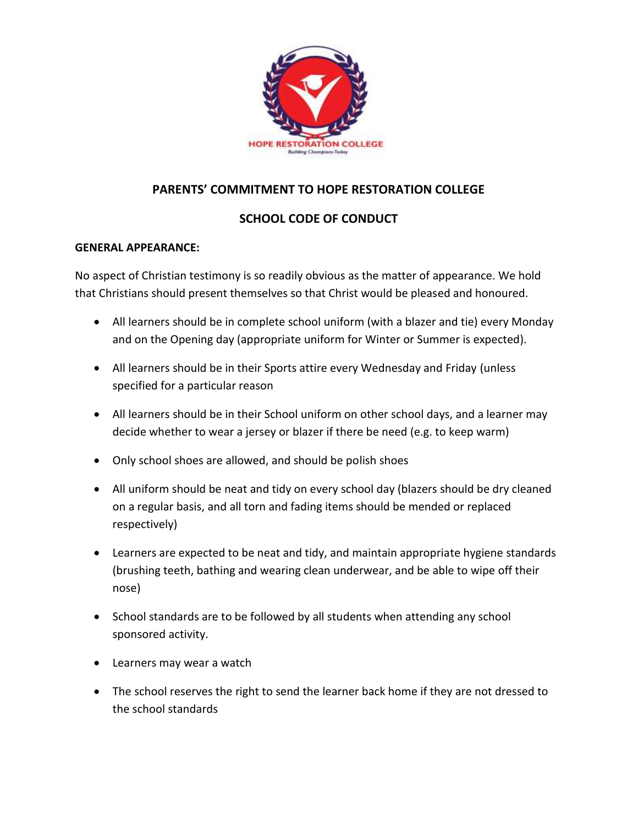

# **PARENTS' COMMITMENT TO HOPE RESTORATION COLLEGE**

## **SCHOOL CODE OF CONDUCT**

## **GENERAL APPEARANCE:**

No aspect of Christian testimony is so readily obvious as the matter of appearance. We hold that Christians should present themselves so that Christ would be pleased and honoured.

- All learners should be in complete school uniform (with a blazer and tie) every Monday and on the Opening day (appropriate uniform for Winter or Summer is expected).
- All learners should be in their Sports attire every Wednesday and Friday (unless specified for a particular reason
- All learners should be in their School uniform on other school days, and a learner may decide whether to wear a jersey or blazer if there be need (e.g. to keep warm)
- Only school shoes are allowed, and should be polish shoes
- All uniform should be neat and tidy on every school day (blazers should be dry cleaned on a regular basis, and all torn and fading items should be mended or replaced respectively)
- Learners are expected to be neat and tidy, and maintain appropriate hygiene standards (brushing teeth, bathing and wearing clean underwear, and be able to wipe off their nose)
- School standards are to be followed by all students when attending any school sponsored activity.
- Learners may wear a watch
- The school reserves the right to send the learner back home if they are not dressed to the school standards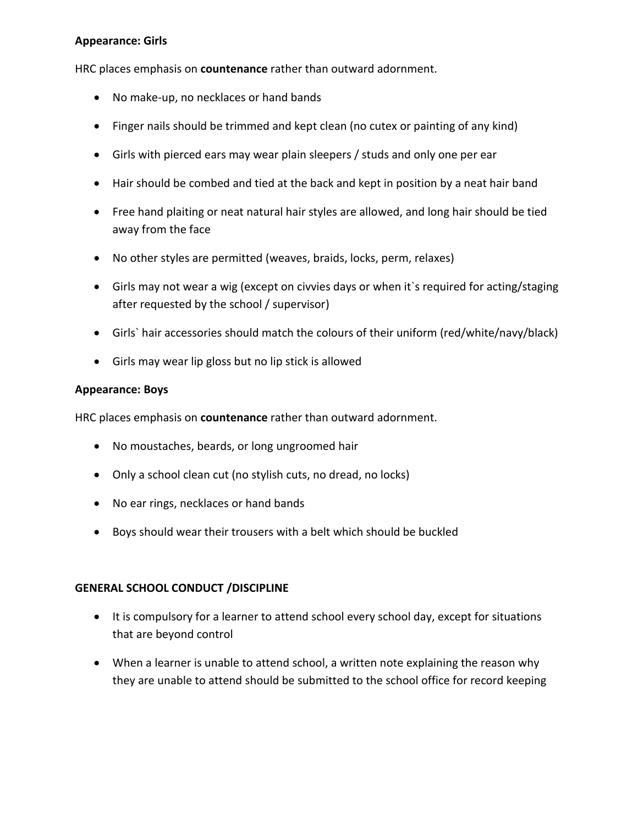### **Appearance: Girls**

HRC places emphasis on **countenance** rather than outward adornment.

- No make-up, no necklaces or hand bands
- Finger nails should be trimmed and kept clean (no cutex or painting of any kind)
- Girls with pierced ears may wear plain sleepers / studs and only one per ear
- Hair should be combed and tied at the back and kept in position by a neat hair band
- Free hand plaiting or neat natural hair styles are allowed, and long hair should be tied away from the face
- No other styles are permitted (weaves, braids, locks, perm, relaxes)
- Girls may not wear a wig (except on civvies days or when it`s required for acting/staging after requested by the school / supervisor)
- Girls` hair accessories should match the colours of their uniform (red/white/navy/black)
- Girls may wear lip gloss but no lip stick is allowed

### **Appearance: Boys**

HRC places emphasis on **countenance** rather than outward adornment.

- No moustaches, beards, or long ungroomed hair
- Only a school clean cut (no stylish cuts, no dread, no locks)
- No ear rings, necklaces or hand bands
- Boys should wear their trousers with a belt which should be buckled

### **GENERAL SCHOOL CONDUCT /DISCIPLINE**

- It is compulsory for a learner to attend school every school day, except for situations that are beyond control
- When a learner is unable to attend school, a written note explaining the reason why they are unable to attend should be submitted to the school office for record keeping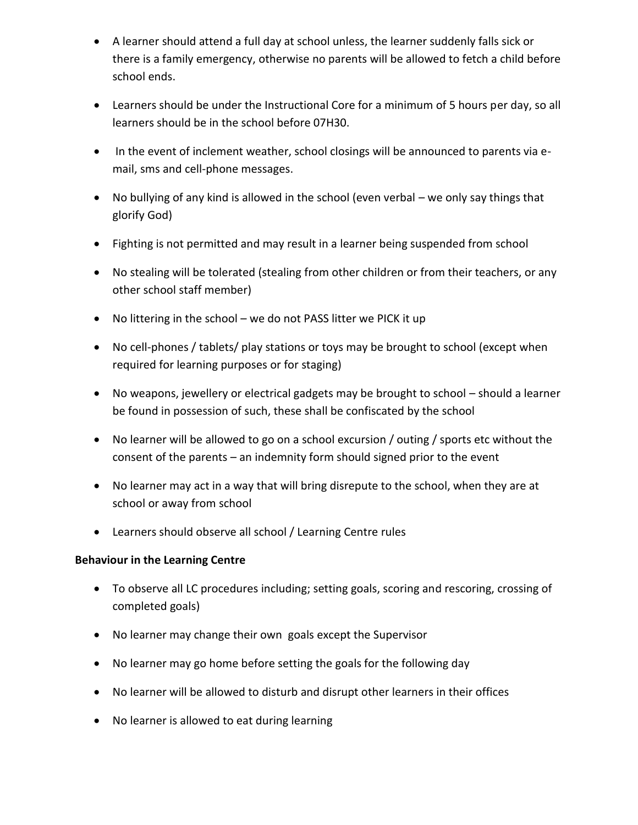- A learner should attend a full day at school unless, the learner suddenly falls sick or there is a family emergency, otherwise no parents will be allowed to fetch a child before school ends.
- Learners should be under the Instructional Core for a minimum of 5 hours per day, so all learners should be in the school before 07H30.
- In the event of inclement weather, school closings will be announced to parents via email, sms and cell-phone messages.
- No bullying of any kind is allowed in the school (even verbal we only say things that glorify God)
- Fighting is not permitted and may result in a learner being suspended from school
- No stealing will be tolerated (stealing from other children or from their teachers, or any other school staff member)
- No littering in the school we do not PASS litter we PICK it up
- No cell-phones / tablets/ play stations or toys may be brought to school (except when required for learning purposes or for staging)
- No weapons, jewellery or electrical gadgets may be brought to school should a learner be found in possession of such, these shall be confiscated by the school
- No learner will be allowed to go on a school excursion / outing / sports etc without the consent of the parents – an indemnity form should signed prior to the event
- No learner may act in a way that will bring disrepute to the school, when they are at school or away from school
- Learners should observe all school / Learning Centre rules

### **Behaviour in the Learning Centre**

- To observe all LC procedures including; setting goals, scoring and rescoring, crossing of completed goals)
- No learner may change their own goals except the Supervisor
- No learner may go home before setting the goals for the following day
- No learner will be allowed to disturb and disrupt other learners in their offices
- No learner is allowed to eat during learning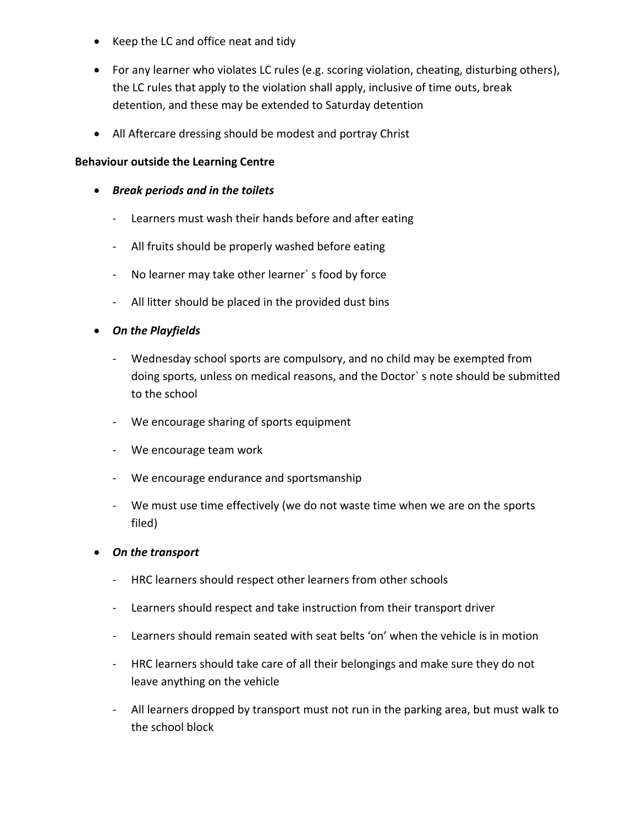- Keep the LC and office neat and tidy
- For any learner who violates LC rules (e.g. scoring violation, cheating, disturbing others), the LC rules that apply to the violation shall apply, inclusive of time outs, break detention, and these may be extended to Saturday detention
- All Aftercare dressing should be modest and portray Christ

## **Behaviour outside the Learning Centre**

- *Break periods and in the toilets*
	- Learners must wash their hands before and after eating
	- All fruits should be properly washed before eating
	- No learner may take other learner` s food by force
	- All litter should be placed in the provided dust bins
- *On the Playfields*
	- Wednesday school sports are compulsory, and no child may be exempted from doing sports, unless on medical reasons, and the Doctor` s note should be submitted to the school
	- We encourage sharing of sports equipment
	- We encourage team work
	- We encourage endurance and sportsmanship
	- We must use time effectively (we do not waste time when we are on the sports filed)
- *On the transport*
	- HRC learners should respect other learners from other schools
	- Learners should respect and take instruction from their transport driver
	- Learners should remain seated with seat belts 'on' when the vehicle is in motion
	- HRC learners should take care of all their belongings and make sure they do not leave anything on the vehicle
	- All learners dropped by transport must not run in the parking area, but must walk to the school block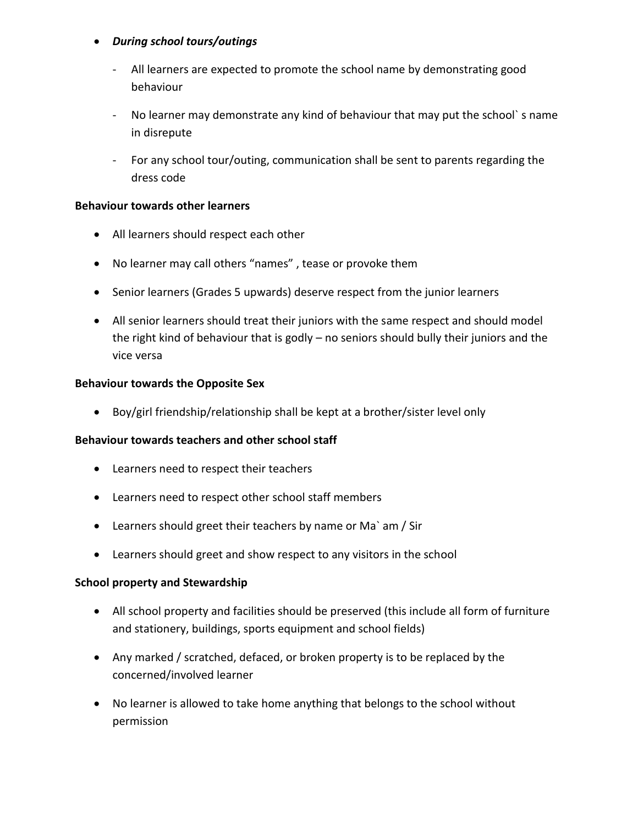## *During school tours/outings*

- All learners are expected to promote the school name by demonstrating good behaviour
- No learner may demonstrate any kind of behaviour that may put the school` s name in disrepute
- For any school tour/outing, communication shall be sent to parents regarding the dress code

## **Behaviour towards other learners**

- All learners should respect each other
- No learner may call others "names" , tease or provoke them
- Senior learners (Grades 5 upwards) deserve respect from the junior learners
- All senior learners should treat their juniors with the same respect and should model the right kind of behaviour that is godly – no seniors should bully their juniors and the vice versa

## **Behaviour towards the Opposite Sex**

Boy/girl friendship/relationship shall be kept at a brother/sister level only

### **Behaviour towards teachers and other school staff**

- Learners need to respect their teachers
- Learners need to respect other school staff members
- Learners should greet their teachers by name or Ma` am / Sir
- Learners should greet and show respect to any visitors in the school

### **School property and Stewardship**

- All school property and facilities should be preserved (this include all form of furniture and stationery, buildings, sports equipment and school fields)
- Any marked / scratched, defaced, or broken property is to be replaced by the concerned/involved learner
- No learner is allowed to take home anything that belongs to the school without permission